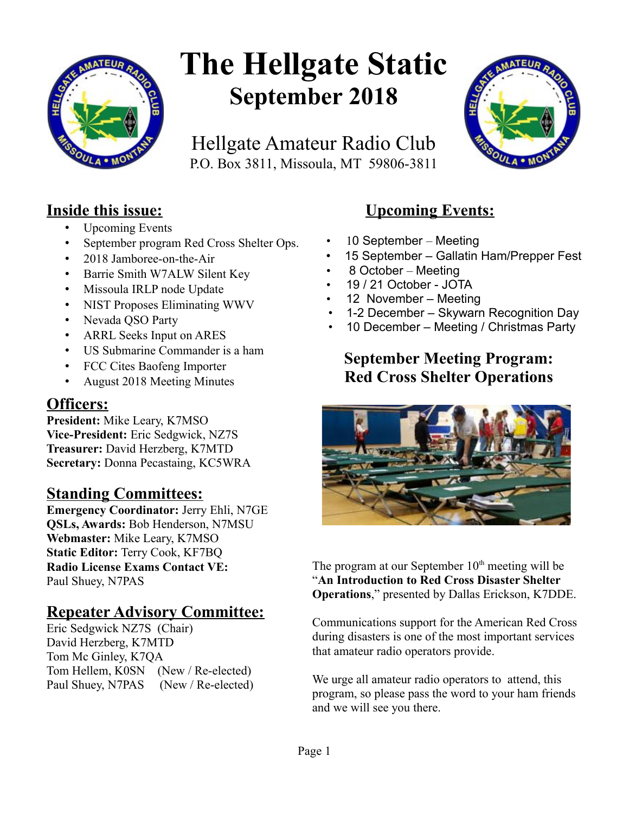

# **The Hellgate Static September 2018**

Hellgate Amateur Radio Club P.O. Box 3811, Missoula, MT 59806-3811



## **Inside this issue:**

- Upcoming Events
- September program Red Cross Shelter Ops.
- 2018 Jamboree-on-the-Air
- Barrie Smith W7ALW Silent Key
- Missoula IRLP node Update
- NIST Proposes Eliminating WWV
- Nevada QSO Party
- ARRL Seeks Input on ARES
- US Submarine Commander is a ham
- FCC Cites Baofeng Importer
- August 2018 Meeting Minutes

## **Officers:**

**President:** Mike Leary, K7MSO **Vice-President:** Eric Sedgwick, NZ7S **Treasurer:** David Herzberg, K7MTD **Secretary:** Donna Pecastaing, KC5WRA

## **Standing Committees:**

**Emergency Coordinator:** Jerry Ehli, N7GE **QSLs, Awards:** Bob Henderson, N7MSU **Webmaster:** Mike Leary, K7MSO **Static Editor:** Terry Cook, KF7BQ **Radio License Exams Contact VE:** Paul Shuey, N7PAS

## **Repeater Advisory Committee:**

Eric Sedgwick NZ7S (Chair) David Herzberg, K7MTD Tom Mc Ginley, K7QA Tom Hellem, K0SN (New / Re-elected) Paul Shuey, N7PAS (New / Re-elected)

# **Upcoming Events:**

- 10 September Meeting
- 15 September Gallatin Ham/Prepper Fest
- 8 October Meeting
- 19 / 21 October JOTA
- 12 November Meeting
- 1-2 December Skywarn Recognition Day
- 10 December Meeting / Christmas Party

# **September Meeting Program: Red Cross Shelter Operations**



The program at our September  $10<sup>th</sup>$  meeting will be "**An Introduction to Red Cross Disaster Shelter Operations**," presented by Dallas Erickson, K7DDE.

Communications support for the American Red Cross during disasters is one of the most important services that amateur radio operators provide.

We urge all amateur radio operators to attend, this program, so please pass the word to your ham friends and we will see you there.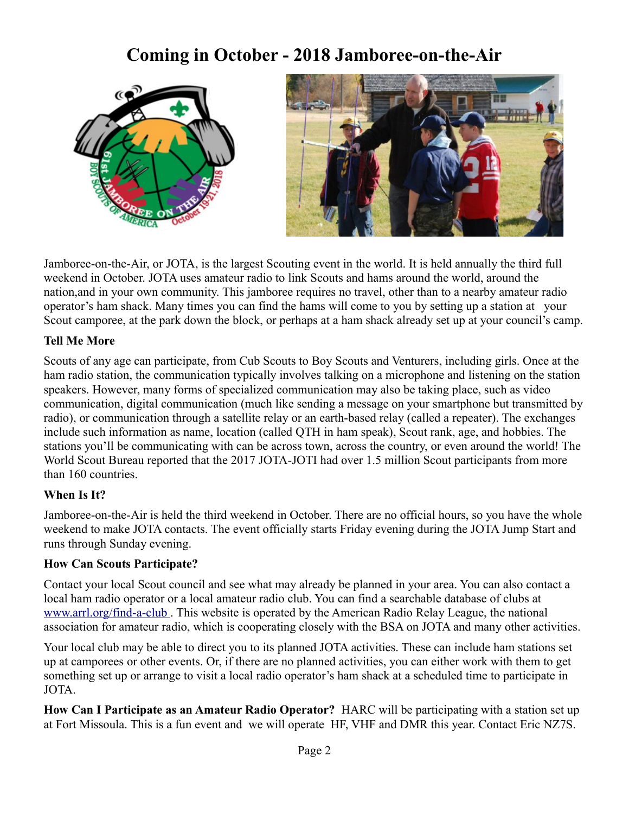# **Coming in October - 2018 Jamboree-on-the-Air**





Jamboree-on-the-Air, or JOTA, is the largest Scouting event in the world. It is held annually the third full weekend in October. JOTA uses amateur radio to link Scouts and hams around the world, around the nation,and in your own community. This jamboree requires no travel, other than to a nearby amateur radio operator's ham shack. Many times you can find the hams will come to you by setting up a station at your Scout camporee, at the park down the block, or perhaps at a ham shack already set up at your council's camp.

#### **Tell Me More**

Scouts of any age can participate, from Cub Scouts to Boy Scouts and Venturers, including girls. Once at the ham radio station, the communication typically involves talking on a microphone and listening on the station speakers. However, many forms of specialized communication may also be taking place, such as video communication, digital communication (much like sending a message on your smartphone but transmitted by radio), or communication through a satellite relay or an earth-based relay (called a repeater). The exchanges include such information as name, location (called QTH in ham speak), Scout rank, age, and hobbies. The stations you'll be communicating with can be across town, across the country, or even around the world! The World Scout Bureau reported that the 2017 JOTA-JOTI had over 1.5 million Scout participants from more than 160 countries.

#### **When Is It?**

Jamboree-on-the-Air is held the third weekend in October. There are no official hours, so you have the whole weekend to make JOTA contacts. The event officially starts Friday evening during the JOTA Jump Start and runs through Sunday evening.

#### **How Can Scouts Participate?**

Contact your local Scout council and see what may already be planned in your area. You can also contact a local ham radio operator or a local amateur radio club. You can find a searchable database of clubs at [www.arrl.org/find-a-club .](http://www.arrl.org/find-a-club) This website is operated by the American Radio Relay League, the national association for amateur radio, which is cooperating closely with the BSA on JOTA and many other activities.

Your local club may be able to direct you to its planned JOTA activities. These can include ham stations set up at camporees or other events. Or, if there are no planned activities, you can either work with them to get something set up or arrange to visit a local radio operator's ham shack at a scheduled time to participate in JOTA.

**How Can I Participate as an Amateur Radio Operator?** HARC will be participating with a station set up at Fort Missoula. This is a fun event and we will operate HF, VHF and DMR this year. Contact Eric NZ7S.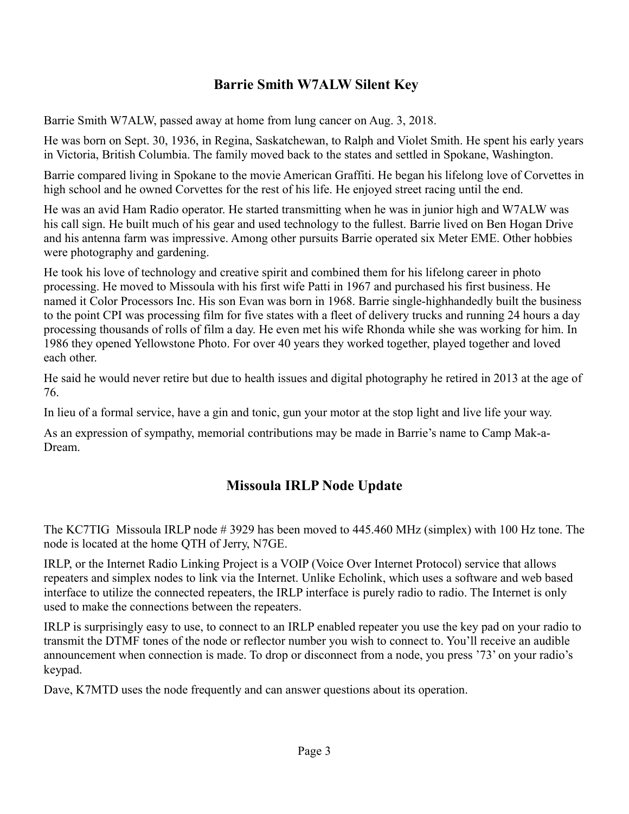#### **Barrie Smith W7ALW Silent Key**

Barrie Smith W7ALW, passed away at home from lung cancer on Aug. 3, 2018.

He was born on Sept. 30, 1936, in Regina, Saskatchewan, to Ralph and Violet Smith. He spent his early years in Victoria, British Columbia. The family moved back to the states and settled in Spokane, Washington.

Barrie compared living in Spokane to the movie American Graffiti. He began his lifelong love of Corvettes in high school and he owned Corvettes for the rest of his life. He enjoyed street racing until the end.

He was an avid Ham Radio operator. He started transmitting when he was in junior high and W7ALW was his call sign. He built much of his gear and used technology to the fullest. Barrie lived on Ben Hogan Drive and his antenna farm was impressive. Among other pursuits Barrie operated six Meter EME. Other hobbies were photography and gardening.

He took his love of technology and creative spirit and combined them for his lifelong career in photo processing. He moved to Missoula with his first wife Patti in 1967 and purchased his first business. He named it Color Processors Inc. His son Evan was born in 1968. Barrie single-highhandedly built the business to the point CPI was processing film for five states with a fleet of delivery trucks and running 24 hours a day processing thousands of rolls of film a day. He even met his wife Rhonda while she was working for him. In 1986 they opened Yellowstone Photo. For over 40 years they worked together, played together and loved each other.

He said he would never retire but due to health issues and digital photography he retired in 2013 at the age of 76.

In lieu of a formal service, have a gin and tonic, gun your motor at the stop light and live life your way.

As an expression of sympathy, memorial contributions may be made in Barrie's name to Camp Mak-a-Dream.

## **Missoula IRLP Node Update**

The KC7TIG Missoula IRLP node # 3929 has been moved to 445.460 MHz (simplex) with 100 Hz tone. The node is located at the home QTH of Jerry, N7GE.

IRLP, or the Internet Radio Linking Project is a VOIP (Voice Over Internet Protocol) service that allows repeaters and simplex nodes to link via the Internet. Unlike Echolink, which uses a software and web based interface to utilize the connected repeaters, the IRLP interface is purely radio to radio. The Internet is only used to make the connections between the repeaters.

IRLP is surprisingly easy to use, to connect to an IRLP enabled repeater you use the key pad on your radio to transmit the DTMF tones of the node or reflector number you wish to connect to. You'll receive an audible announcement when connection is made. To drop or disconnect from a node, you press '73' on your radio's keypad.

Dave, K7MTD uses the node frequently and can answer questions about its operation.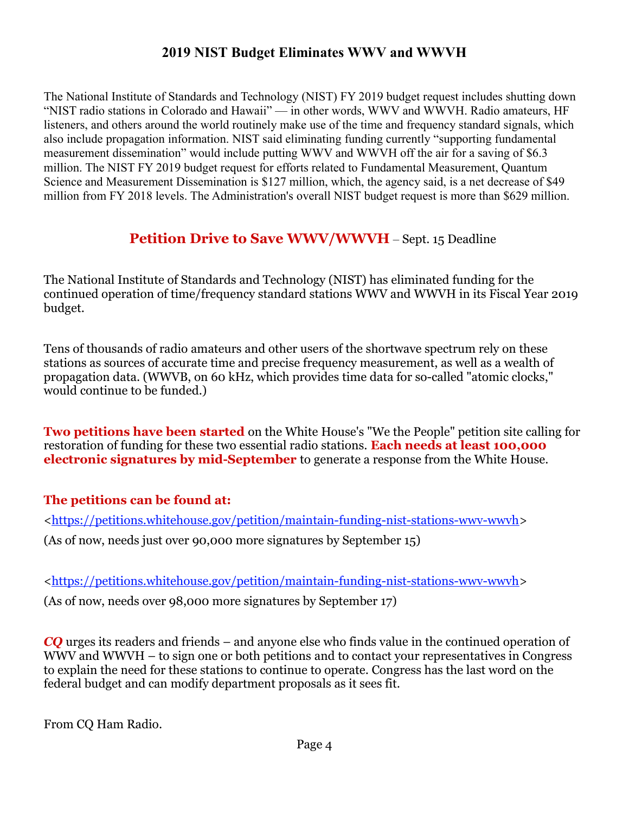#### **2019 NIST Budget Eliminates WWV and WWVH**

The National Institute of Standards and Technology (NIST) FY 2019 budget request includes shutting down "NIST radio stations in Colorado and Hawaii" — in other words, WWV and WWVH. Radio amateurs, HF listeners, and others around the world routinely make use of the time and frequency standard signals, which also include propagation information. NIST said eliminating funding currently "supporting fundamental measurement dissemination" would include putting WWV and WWVH off the air for a saving of \$6.3 million. The NIST FY 2019 budget request for efforts related to Fundamental Measurement, Quantum Science and Measurement Dissemination is \$127 million, which, the agency said, is a net decrease of \$49 million from FY 2018 levels. The Administration's overall NIST budget request is more than \$629 million.

## **Petition Drive to Save WWV/WWVH** – Sept. 15 Deadline

The National Institute of Standards and Technology (NIST) has eliminated funding for the continued operation of time/frequency standard stations WWV and WWVH in its Fiscal Year 2019 budget.

Tens of thousands of radio amateurs and other users of the shortwave spectrum rely on these stations as sources of accurate time and precise frequency measurement, as well as a wealth of propagation data. (WWVB, on 60 kHz, which provides time data for so-called "atomic clocks," would continue to be funded.)

**Two petitions have been started** on the White House's "We the People" petition site calling for restoration of funding for these two essential radio stations. **Each needs at least 100,000 electronic signatures by mid-September** to generate a response from the White House.

#### **The petitions can be found at:**

[<https://petitions.whitehouse.gov/petition/maintain-funding-nist-stations-wwv-wwvh>](http://r20.rs6.net/tn.jsp?f=0015oWYePADccoU0PBYBaujK2jHyb2oMGCMGCrf5-dV3Oy7Iaq-3z9g4-wI_7VdRtHlpE2-9bU5MWBdh7EJjXHyXfhCJmBipNfkVj7J927pWLglx6X1tqGFdxISlBUxnlMCXjLieqC4VNV5PU5Zg9vrsRAEkPiDMizycd0Bc2azkjsparx_KgzCalPWGlwVIv7A4OiluirkwmHGclEhKukagvdYWU6VaWJE&c=OqunUDrdhvYoXzRrFmDZp_C8LE_QJ9grGX0oLOfkqor3eBmceNQikA==&ch=R788-2YaPybNe3XE5f5da5KvOfSHh3GYJDPYxgQ0o57-j2Sd3d-bGw==) (As of now, needs just over 90,000 more signatures by September 15)

[<https://petitions.whitehouse.gov/petition/maintain-funding-nist-stations-wwv-wwvh>](http://r20.rs6.net/tn.jsp?f=0015oWYePADccoU0PBYBaujK2jHyb2oMGCMGCrf5-dV3Oy7Iaq-3z9g4-wI_7VdRtHlpE2-9bU5MWBdh7EJjXHyXfhCJmBipNfkVj7J927pWLglx6X1tqGFdxISlBUxnlMCXjLieqC4VNV5PU5Zg9vrsRAEkPiDMizycd0Bc2azkjsparx_KgzCalPWGlwVIv7A4OiluirkwmHGclEhKukagvdYWU6VaWJE&c=OqunUDrdhvYoXzRrFmDZp_C8LE_QJ9grGX0oLOfkqor3eBmceNQikA==&ch=R788-2YaPybNe3XE5f5da5KvOfSHh3GYJDPYxgQ0o57-j2Sd3d-bGw==)

(As of now, needs over 98,000 more signatures by September 17)

*CQ* urges its readers and friends – and anyone else who finds value in the continued operation of WWV and WWVH – to sign one or both petitions and to contact your representatives in Congress to explain the need for these stations to continue to operate. Congress has the last word on the federal budget and can modify department proposals as it sees fit.

From CQ Ham Radio.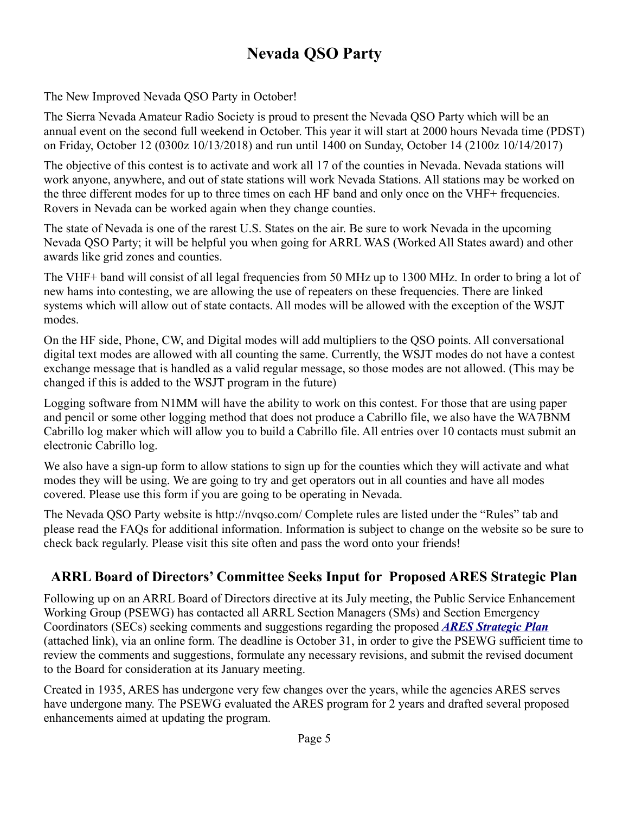# **Nevada QSO Party**

The New Improved Nevada QSO Party in October!

The Sierra Nevada Amateur Radio Society is proud to present the Nevada QSO Party which will be an annual event on the second full weekend in October. This year it will start at 2000 hours Nevada time (PDST) on Friday, October 12 (0300z 10/13/2018) and run until 1400 on Sunday, October 14 (2100z 10/14/2017)

The objective of this contest is to activate and work all 17 of the counties in Nevada. Nevada stations will work anyone, anywhere, and out of state stations will work Nevada Stations. All stations may be worked on the three different modes for up to three times on each HF band and only once on the VHF+ frequencies. Rovers in Nevada can be worked again when they change counties.

The state of Nevada is one of the rarest U.S. States on the air. Be sure to work Nevada in the upcoming Nevada QSO Party; it will be helpful you when going for ARRL WAS (Worked All States award) and other awards like grid zones and counties.

The VHF+ band will consist of all legal frequencies from 50 MHz up to 1300 MHz. In order to bring a lot of new hams into contesting, we are allowing the use of repeaters on these frequencies. There are linked systems which will allow out of state contacts. All modes will be allowed with the exception of the WSJT modes.

On the HF side, Phone, CW, and Digital modes will add multipliers to the QSO points. All conversational digital text modes are allowed with all counting the same. Currently, the WSJT modes do not have a contest exchange message that is handled as a valid regular message, so those modes are not allowed. (This may be changed if this is added to the WSJT program in the future)

Logging software from N1MM will have the ability to work on this contest. For those that are using paper and pencil or some other logging method that does not produce a Cabrillo file, we also have the WA7BNM Cabrillo log maker which will allow you to build a Cabrillo file. All entries over 10 contacts must submit an electronic Cabrillo log.

We also have a sign-up form to allow stations to sign up for the counties which they will activate and what modes they will be using. We are going to try and get operators out in all counties and have all modes covered. Please use this form if you are going to be operating in Nevada.

The Nevada QSO Party website is http://nvqso.com/ Complete rules are listed under the "Rules" tab and please read the FAQs for additional information. Information is subject to change on the website so be sure to check back regularly. Please visit this site often and pass the word onto your friends!

#### **ARRL Board of Directors' Committee Seeks Input for Proposed ARES Strategic Plan**

Following up on an ARRL Board of Directors directive at its July meeting, the Public Service Enhancement Working Group (PSEWG) has contacted all ARRL Section Managers (SMs) and Section Emergency Coordinators (SECs) seeking comments and suggestions regarding the proposed *[ARES Strategic Plan](http://www.arrl.org/files/file/Media%20&%20PR/ARES/ARES%20Strategic%20Plan%20-%20final%20-%20PSC.pdf)* (attached link), via an online form. The deadline is October 31, in order to give the PSEWG sufficient time to review the comments and suggestions, formulate any necessary revisions, and submit the revised document to the Board for consideration at its January meeting.

Created in 1935, ARES has undergone very few changes over the years, while the agencies ARES serves have undergone many. The PSEWG evaluated the ARES program for 2 years and drafted several proposed enhancements aimed at updating the program.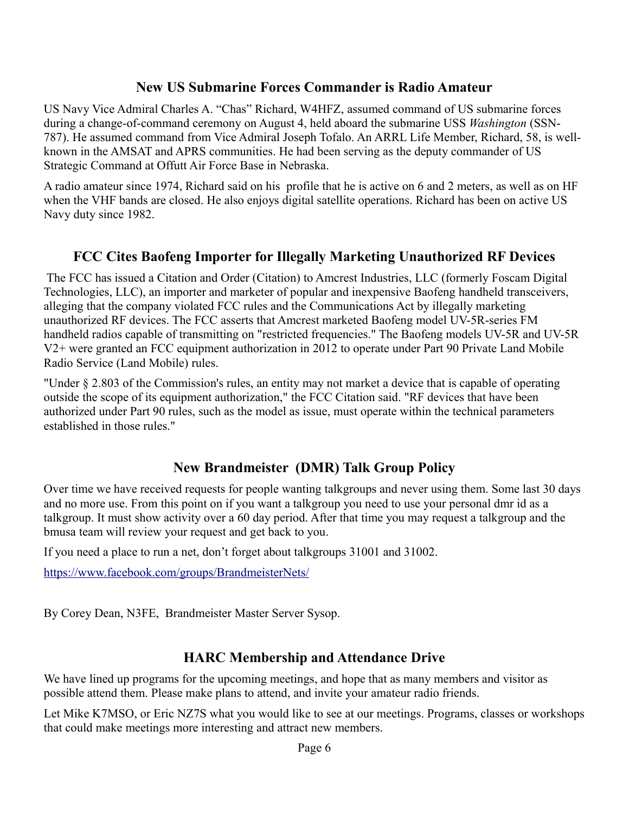#### **New US Submarine Forces Commander is Radio Amateur**

US Navy Vice Admiral Charles A. "Chas" Richard, W4HFZ, assumed command of US submarine forces during a change-of-command ceremony on August 4, held aboard the submarine USS *Washington* (SSN-787). He assumed command from Vice Admiral Joseph Tofalo. An ARRL Life Member, Richard, 58, is wellknown in the AMSAT and APRS communities. He had been serving as the deputy commander of US Strategic Command at Offutt Air Force Base in Nebraska.

A radio amateur since 1974, Richard said on his profile that he is active on 6 and 2 meters, as well as on HF when the VHF bands are closed. He also enjoys digital satellite operations. Richard has been on active US Navy duty since 1982.

#### **FCC Cites Baofeng Importer for Illegally Marketing Unauthorized RF Devices**

 The FCC has issued a Citation and Order (Citation) to Amcrest Industries, LLC (formerly Foscam Digital Technologies, LLC), an importer and marketer of popular and inexpensive Baofeng handheld transceivers, alleging that the company violated FCC rules and the Communications Act by illegally marketing unauthorized RF devices. The FCC asserts that Amcrest marketed Baofeng model UV-5R-series FM handheld radios capable of transmitting on "restricted frequencies." The Baofeng models UV-5R and UV-5R V2+ were granted an FCC equipment authorization in 2012 to operate under Part 90 Private Land Mobile Radio Service (Land Mobile) rules.

"Under § 2.803 of the Commission's rules, an entity may not market a device that is capable of operating outside the scope of its equipment authorization," the FCC Citation said. "RF devices that have been authorized under Part 90 rules, such as the model as issue, must operate within the technical parameters established in those rules."

#### **New Brandmeister (DMR) Talk Group Policy**

Over time we have received requests for people wanting talkgroups and never using them. Some last 30 days and no more use. From this point on if you want a talkgroup you need to use your personal dmr id as a talkgroup. It must show activity over a 60 day period. After that time you may request a talkgroup and the bmusa team will review your request and get back to you.

If you need a place to run a net, don't forget about talkgroups 31001 and 31002.

[https://www.facebook.com/groups/BrandmeisterNets/](https://www.facebook.com/groups/BrandmeisterNets/?fref=mentions&__xts__%5B0%5D=68.ARC3Ebl0b-Xvm4dfJ9CxOXTUfLZmFAuG1penC9_U1DAvtc-6erqq7r95HOoAlo1O6L0rksKAOHqYDZQar-uFBtTJAiyeAlPtaAbXYlD19RZnsCz7w4Ob1LPXjqB5z0JIwP17nXwrAVOK5DpQ5D9HWDbjevNKuEgXu_8bvHXpRGtL7_J2GKpIk1XD6w&__tn__=K-R)

By Corey Dean, N3FE, Brandmeister Master Server Sysop.

#### **HARC Membership and Attendance Drive**

We have lined up programs for the upcoming meetings, and hope that as many members and visitor as possible attend them. Please make plans to attend, and invite your amateur radio friends.

Let Mike K7MSO, or Eric NZ7S what you would like to see at our meetings. Programs, classes or workshops that could make meetings more interesting and attract new members.